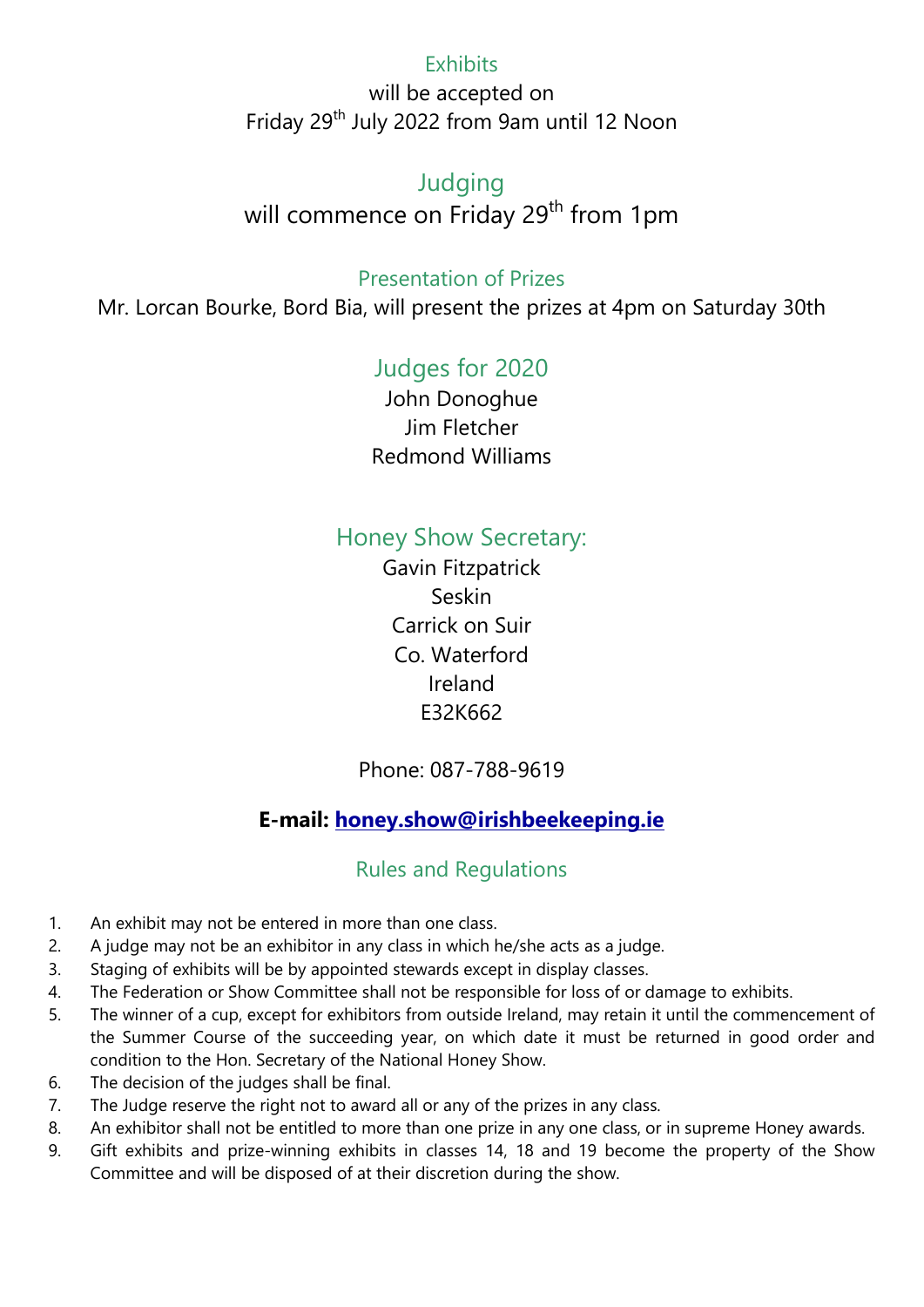## **Exhibits**

will be accepted on Friday 29<sup>th</sup> July 2022 from 9am until 12 Noon

## Judging

will commence on Friday 29<sup>th</sup> from 1pm

## Presentation of Prizes

Mr. Lorcan Bourke, Bord Bia, will present the prizes at 4pm on Saturday 30th

# Judges for 2020

John Donoghue Jim Fletcher Redmond Williams

# Honey Show Secretary:

Gavin Fitzpatrick Seskin Carrick on Suir Co. Waterford Ireland E32K662

## Phone: 087-788-9619

# E-mail: honey.show@irishbeekeeping.ie

## Rules and Regulations

- 1. An exhibit may not be entered in more than one class.
- 2. A judge may not be an exhibitor in any class in which he/she acts as a judge.
- 3. Staging of exhibits will be by appointed stewards except in display classes.
- 4. The Federation or Show Committee shall not be responsible for loss of or damage to exhibits.
- 5. The winner of a cup, except for exhibitors from outside Ireland, may retain it until the commencement of the Summer Course of the succeeding year, on which date it must be returned in good order and condition to the Hon. Secretary of the National Honey Show.
- 6. The decision of the judges shall be final.
- 7. The Judge reserve the right not to award all or any of the prizes in any class.
- 8. An exhibitor shall not be entitled to more than one prize in any one class, or in supreme Honey awards.
- 9. Gift exhibits and prize-winning exhibits in classes 14, 18 and 19 become the property of the Show Committee and will be disposed of at their discretion during the show.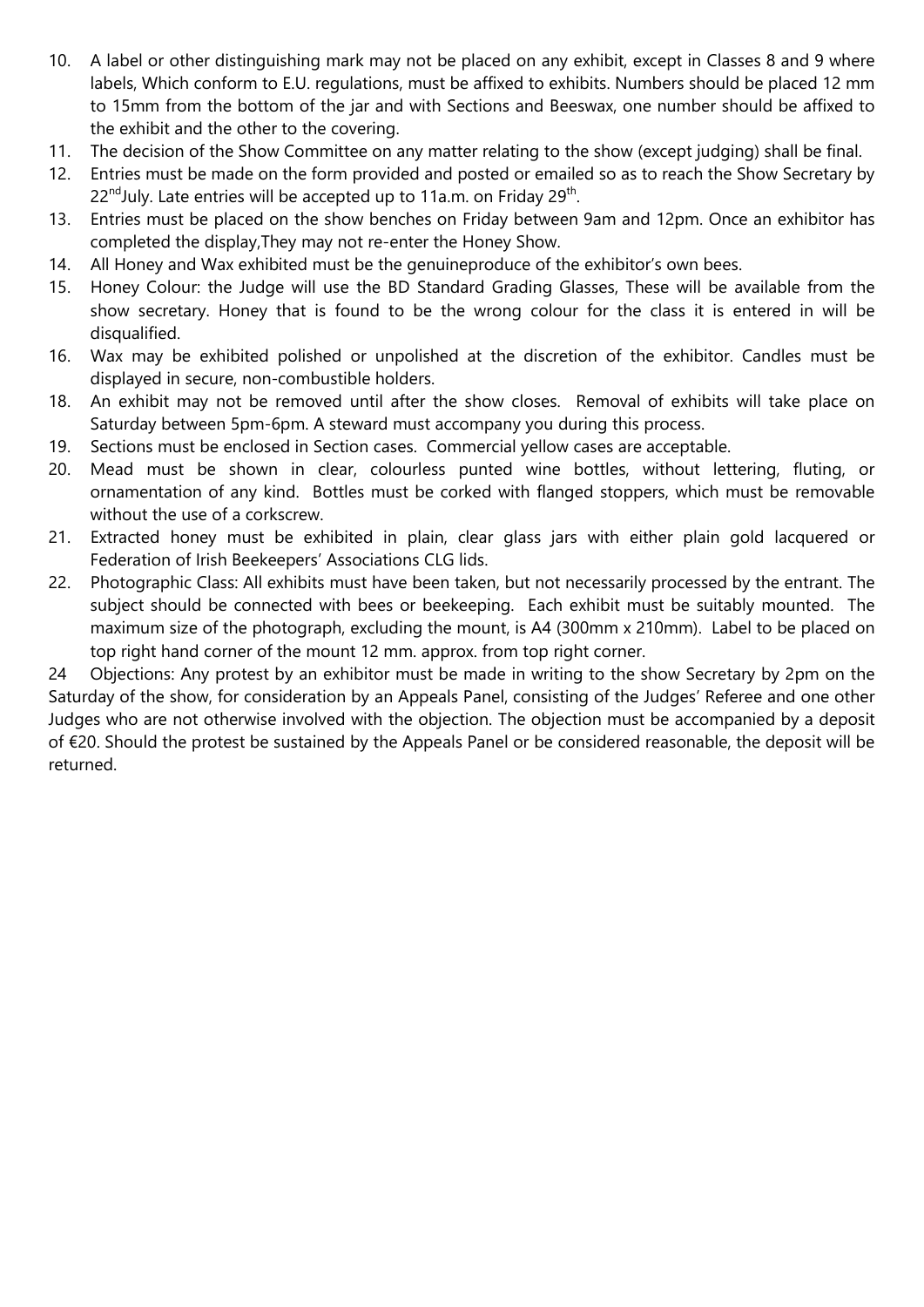- 10. A label or other distinguishing mark may not be placed on any exhibit, except in Classes 8 and 9 where labels, Which conform to E.U. regulations, must be affixed to exhibits. Numbers should be placed 12 mm to 15mm from the bottom of the jar and with Sections and Beeswax, one number should be affixed to the exhibit and the other to the covering.
- 11. The decision of the Show Committee on any matter relating to the show (except judging) shall be final.
- 12. Entries must be made on the form provided and posted or emailed so as to reach the Show Secretary by 22<sup>nd</sup>July. Late entries will be accepted up to 11a.m. on Friday 29<sup>th</sup>.
- 13. Entries must be placed on the show benches on Friday between 9am and 12pm. Once an exhibitor has completed the display,They may not re-enter the Honey Show.
- 14. All Honey and Wax exhibited must be the genuineproduce of the exhibitor's own bees.
- 15. Honey Colour: the Judge will use the BD Standard Grading Glasses, These will be available from the show secretary. Honey that is found to be the wrong colour for the class it is entered in will be disqualified.
- 16. Wax may be exhibited polished or unpolished at the discretion of the exhibitor. Candles must be displayed in secure, non-combustible holders.
- 18. An exhibit may not be removed until after the show closes. Removal of exhibits will take place on Saturday between 5pm-6pm. A steward must accompany you during this process.
- 19. Sections must be enclosed in Section cases. Commercial yellow cases are acceptable.
- 20. Mead must be shown in clear, colourless punted wine bottles, without lettering, fluting, or ornamentation of any kind. Bottles must be corked with flanged stoppers, which must be removable without the use of a corkscrew.
- 21. Extracted honey must be exhibited in plain, clear glass jars with either plain gold lacquered or Federation of Irish Beekeepers' Associations CLG lids.
- 22. Photographic Class: All exhibits must have been taken, but not necessarily processed by the entrant. The subject should be connected with bees or beekeeping. Each exhibit must be suitably mounted. The maximum size of the photograph, excluding the mount, is A4 (300mm x 210mm). Label to be placed on top right hand corner of the mount 12 mm. approx. from top right corner.

24 Objections: Any protest by an exhibitor must be made in writing to the show Secretary by 2pm on the Saturday of the show, for consideration by an Appeals Panel, consisting of the Judges' Referee and one other Judges who are not otherwise involved with the objection. The objection must be accompanied by a deposit of €20. Should the protest be sustained by the Appeals Panel or be considered reasonable, the deposit will be returned.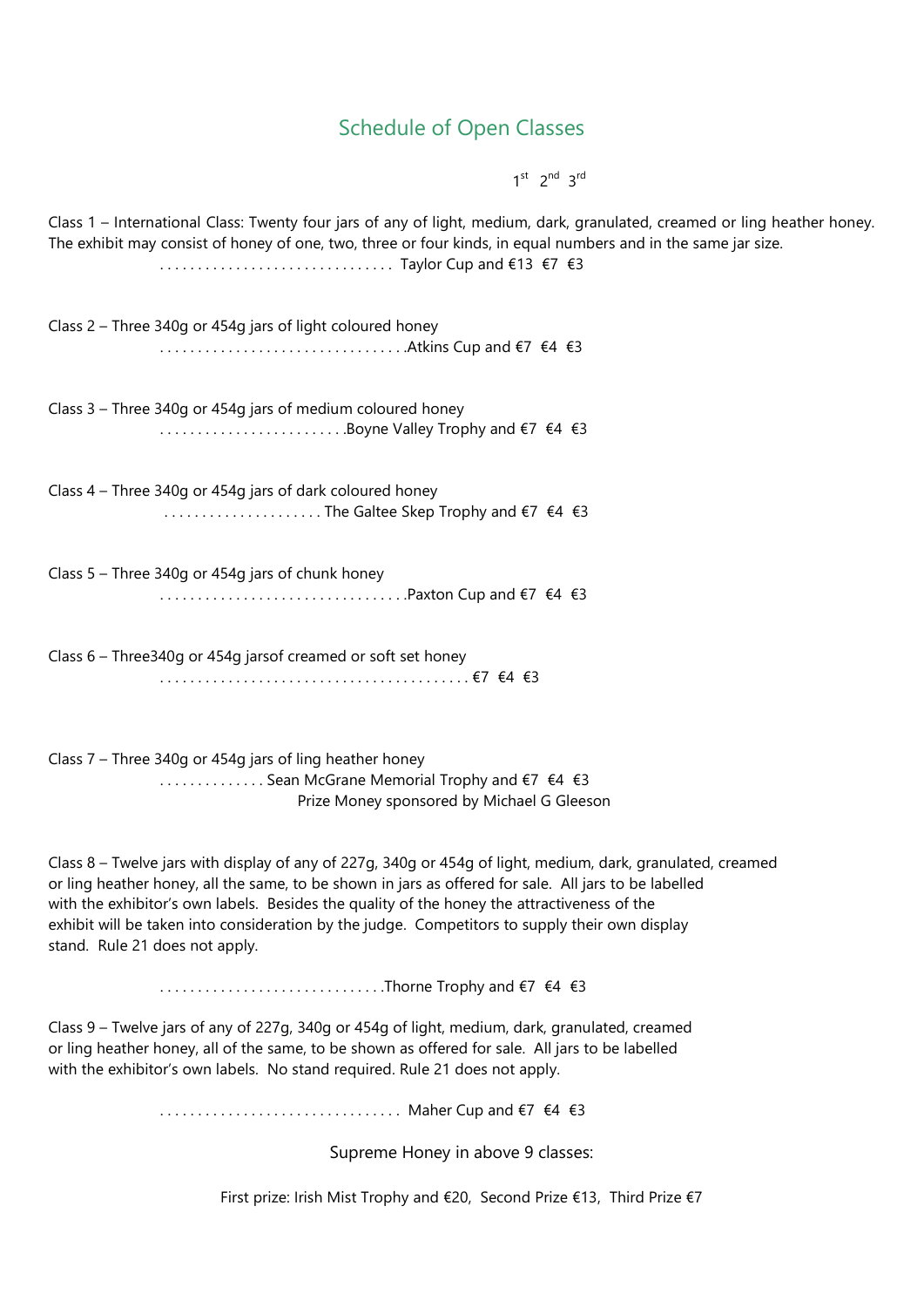## Schedule of Open Classes

 $1^{st}$   $2^{nd}$   $3^{rd}$ 

Class 1 – International Class: Twenty four jars of any of light, medium, dark, granulated, creamed or ling heather honey. The exhibit may consist of honey of one, two, three or four kinds, in equal numbers and in the same jar size. . . . . . . . . . . . . . . . . . . . . . . . . . . . . . . . Taylor Cup and €13 €7 €3 Class 2 – Three 340g or 454g jars of light coloured honey . . . . . . . . . . . . . . . . . . . . . . . . . . . . . . . . .Atkins Cup and €7 €4 €3 Class 3 – Three 340g or 454g jars of medium coloured honey  $\dots\dots\dots\dots\dots\dots\dots\dotsB$ oyne Valley Trophy and  $\epsilon$ 7  $\epsilon$ 4  $\epsilon$ 3 Class 4 – Three 340g or 454g jars of dark coloured honey . . . . . . . . . . . . . . . . . . . . . The Galtee Skep Trophy and €7 €4 €3 Class 5 – Three 340g or 454g jars of chunk honey . . . . . . . . . . . . . . . . . . . . . . . . . . . . . . . . .Paxton Cup and €7 €4 €3 Class 6 – Three340g or 454g jarsof creamed or soft set honey . . . . . . . . . . . . . . . . . . . . . . . . . . . . . . . . . . . . . . . . . €7 €4 €3 Class 7 – Three 340g or 454g jars of ling heather honey .............. Sean McGrane Memorial Trophy and €7 €4 €3 Prize Money sponsored by Michael G Gleeson Class 8 – Twelve jars with display of any of 227g, 340g or 454g of light, medium, dark, granulated, creamed or ling heather honey, all the same, to be shown in jars as offered for sale. All jars to be labelled with the exhibitor's own labels. Besides the quality of the honey the attractiveness of the exhibit will be taken into consideration by the judge. Competitors to supply their own display stand. Rule 21 does not apply. . . . . . . . . . . . . . . . . . . . . . . . . . . . . . .Thorne Trophy and €7 €4 €3 Class 9 – Twelve jars of any of 227g, 340g or 454g of light, medium, dark, granulated, creamed or ling heather honey, all of the same, to be shown as offered for sale. All jars to be labelled with the exhibitor's own labels. No stand required. Rule 21 does not apply. ................................. Maher Cup and €7 €4 €3 Supreme Honey in above 9 classes: First prize: Irish Mist Trophy and €20, Second Prize €13, Third Prize €7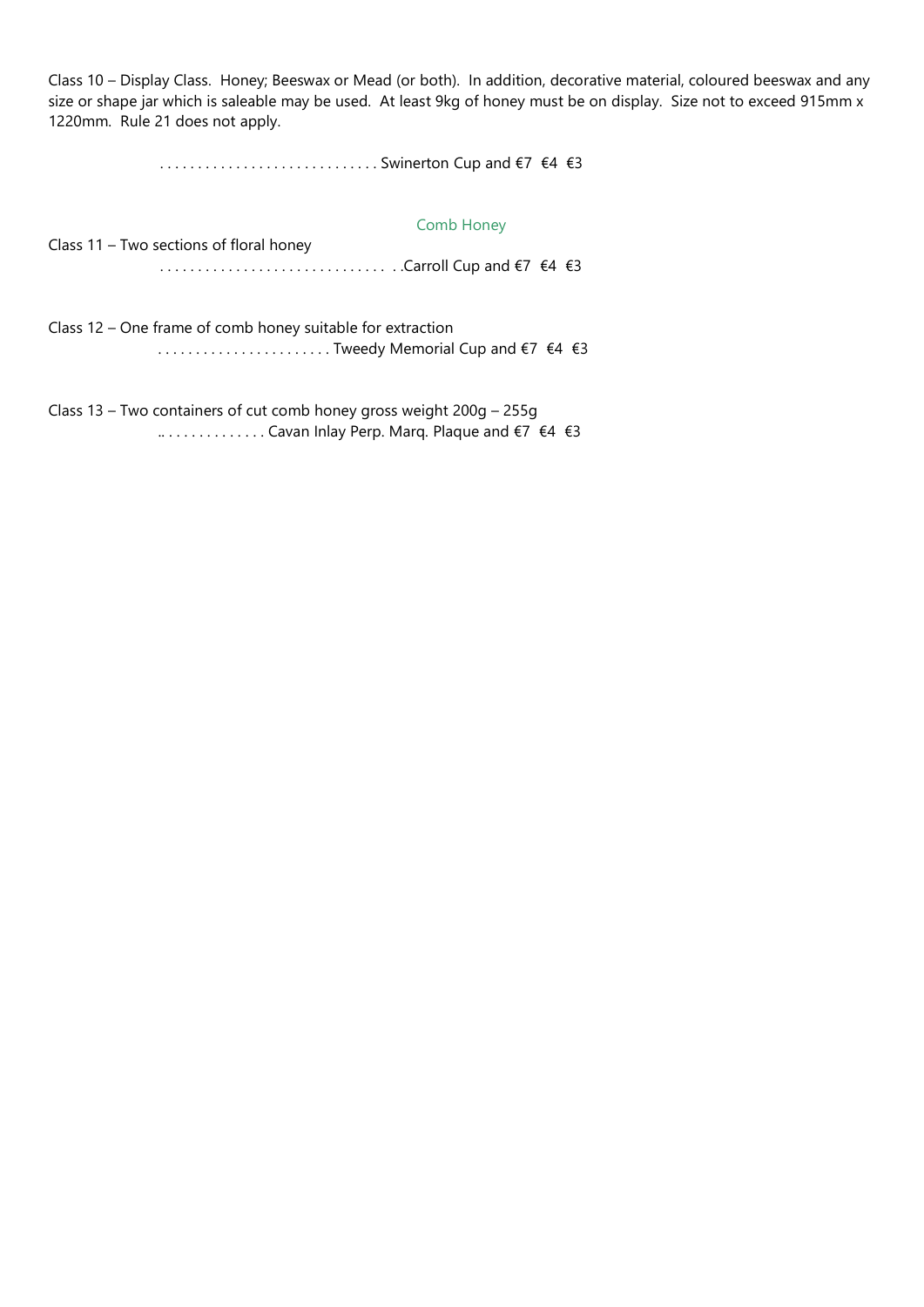Class 10 – Display Class. Honey; Beeswax or Mead (or both). In addition, decorative material, coloured beeswax and any size or shape jar which is saleable may be used. At least 9kg of honey must be on display. Size not to exceed 915mm x 1220mm. Rule 21 does not apply.

. . . . . . . . . . . . . . . . . . . . . . . . . . . . . Swinerton Cup and €7 €4 €3

### Comb Honey

Class 11 – Two sections of floral honey . . . . . . . . . . . . . . . . . . . . . . . . . . . . . . . .Carroll Cup and €7 €4 €3

Class 12 – One frame of comb honey suitable for extraction . . . . . . . . . . . . . . . . . . . . . . . Tweedy Memorial Cup and €7 €4 €3

Class 13 – Two containers of cut comb honey gross weight 200g – 255g .. . . . . . . . . . . . . . Cavan Inlay Perp. Marq. Plaque and €7 €4 €3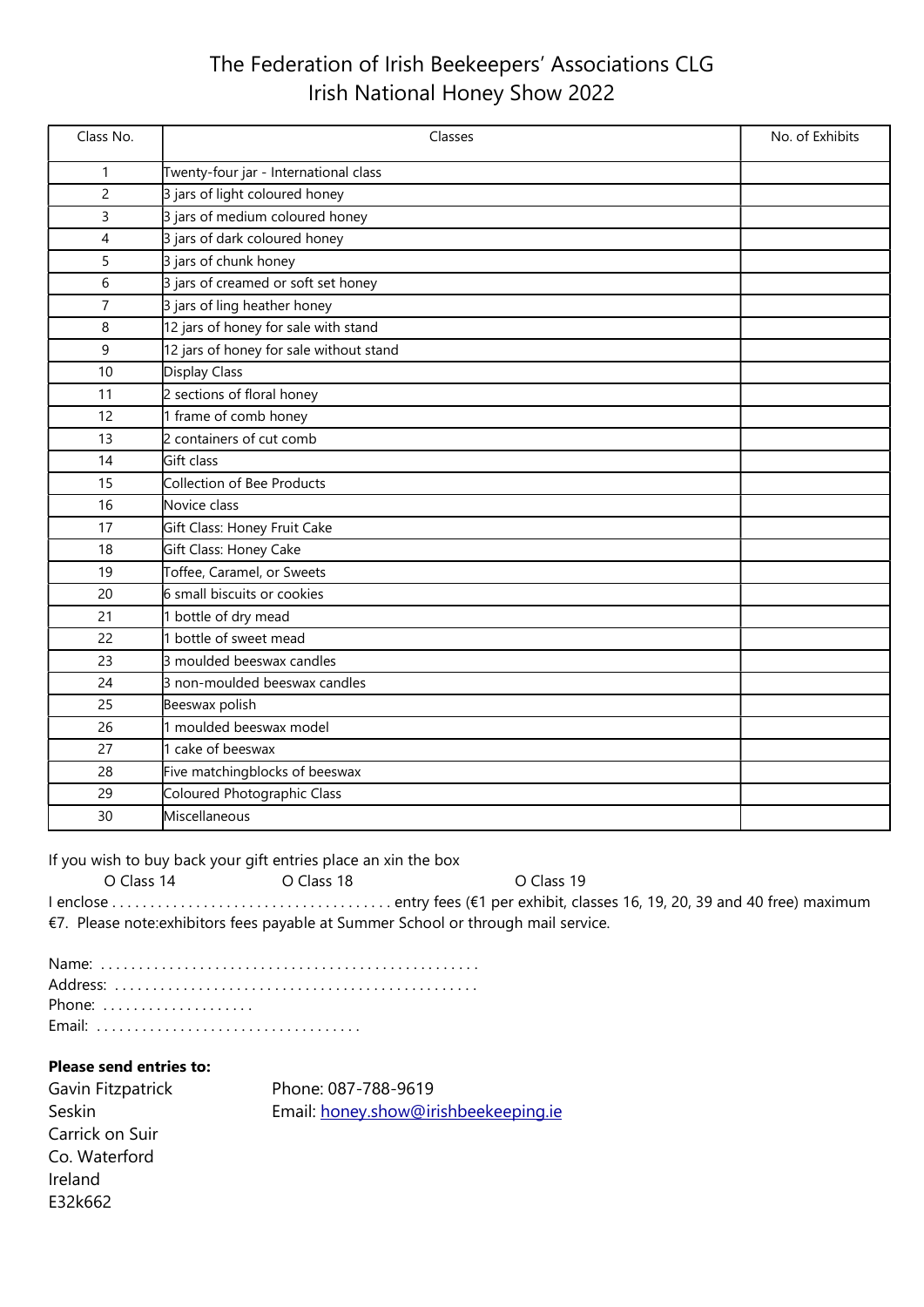# The Federation of Irish Beekeepers' Associations CLG Irish National Honey Show 2022

| Class No.      | Classes                                 | No. of Exhibits |
|----------------|-----------------------------------------|-----------------|
| 1              | Twenty-four jar - International class   |                 |
| $\overline{c}$ | 3 jars of light coloured honey          |                 |
| 3              | 3 jars of medium coloured honey         |                 |
| 4              | 3 jars of dark coloured honey           |                 |
| 5              | 3 jars of chunk honey                   |                 |
| 6              | 3 jars of creamed or soft set honey     |                 |
| $\overline{7}$ | 3 jars of ling heather honey            |                 |
| 8              | 12 jars of honey for sale with stand    |                 |
| 9              | 12 jars of honey for sale without stand |                 |
| 10             | Display Class                           |                 |
| 11             | 2 sections of floral honey              |                 |
| 12             | 1 frame of comb honey                   |                 |
| 13             | 2 containers of cut comb                |                 |
| 14             | Gift class                              |                 |
| 15             | Collection of Bee Products              |                 |
| 16             | Novice class                            |                 |
| 17             | Gift Class: Honey Fruit Cake            |                 |
| 18             | Gift Class: Honey Cake                  |                 |
| 19             | Toffee, Caramel, or Sweets              |                 |
| 20             | 6 small biscuits or cookies             |                 |
| 21             | 1 bottle of dry mead                    |                 |
| 22             | 1 bottle of sweet mead                  |                 |
| 23             | 3 moulded beeswax candles               |                 |
| 24             | 3 non-moulded beeswax candles           |                 |
| 25             | Beeswax polish                          |                 |
| 26             | 1 moulded beeswax model                 |                 |
| 27             | 1 cake of beeswax                       |                 |
| 28             | Five matchingblocks of beeswax          |                 |
| 29             | Coloured Photographic Class             |                 |
| 30             | Miscellaneous                           |                 |

If you wish to buy back your gift entries place an xin the box

O Class 14 O Class 18 O Class 19 I enclose . . . . . . . . . . . . . . . . . . . . . . . . . . . . . . . . . . . . . entry fees (€1 per exhibit, classes 16, 19, 20, 39 and 40 free) maximum €7. Please note:exhibitors fees payable at Summer School or through mail service.

| Phone: $\ldots \ldots \ldots \ldots \ldots$ |  |  |  |  |  |  |  |  |  |  |  |  |  |  |  |
|---------------------------------------------|--|--|--|--|--|--|--|--|--|--|--|--|--|--|--|
|                                             |  |  |  |  |  |  |  |  |  |  |  |  |  |  |  |

## Please send entries to:

| Gavin Fitzpatrick | Phone: 087-788-9619                  |
|-------------------|--------------------------------------|
| Seskin            | Email: honey.show@irishbeekeeping.ie |
| Carrick on Suir   |                                      |
| Co. Waterford     |                                      |
| Ireland           |                                      |
| E32k662           |                                      |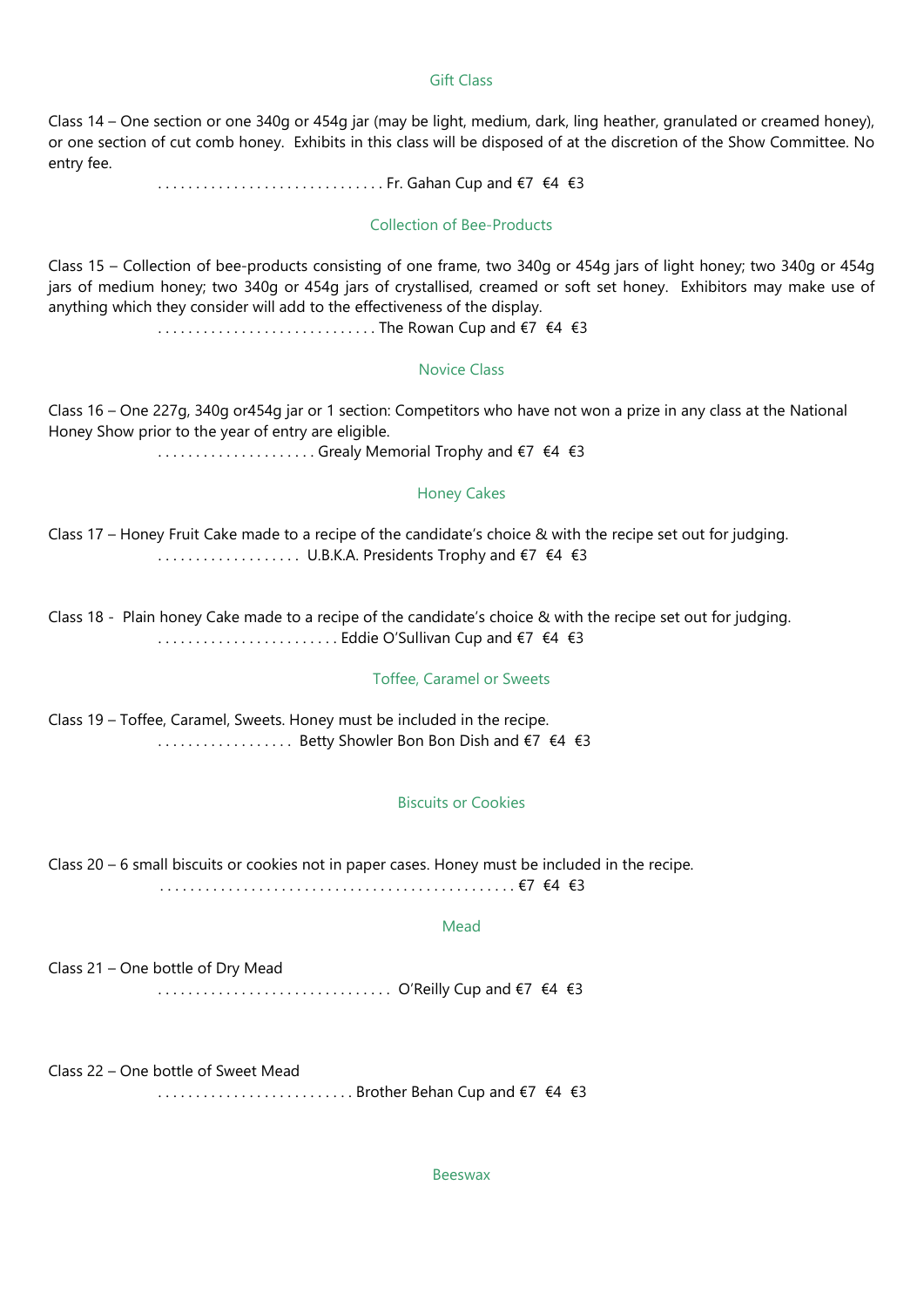## Gift Class

Class 14 – One section or one 340g or 454g jar (may be light, medium, dark, ling heather, granulated or creamed honey), or one section of cut comb honey. Exhibits in this class will be disposed of at the discretion of the Show Committee. No entry fee.

. . . . . . . . . . . . . . . . . . . . . . . . . . . . . . Fr. Gahan Cup and €7 €4 €3

### Collection of Bee-Products

Class 15 – Collection of bee-products consisting of one frame, two 340g or 454g jars of light honey; two 340g or 454g jars of medium honey; two 340g or 454g jars of crystallised, creamed or soft set honey. Exhibitors may make use of anything which they consider will add to the effectiveness of the display.

. . . . . . . . . . . . . . . . . . . . . . . . . . . . . The Rowan Cup and €7 €4 €3

### Novice Class

Class 16 – One 227g, 340g or454g jar or 1 section: Competitors who have not won a prize in any class at the National Honey Show prior to the year of entry are eligible.

. . . . . . . . . . . . . . . . . . . . . Grealy Memorial Trophy and €7 €4 €3

### Honey Cakes

Class 17 – Honey Fruit Cake made to a recipe of the candidate's choice & with the recipe set out for judging. . . . . . . . . . . . . . . . . . . . U.B.K.A. Presidents Trophy and €7 €4 €3

Class 18 - Plain honey Cake made to a recipe of the candidate's choice & with the recipe set out for judging. . . . . . . . . . . . . . . . . . . . . . . . . Eddie O'Sullivan Cup and €7 €4 €3

### Toffee, Caramel or Sweets

Class 19 – Toffee, Caramel, Sweets. Honey must be included in the recipe. . . . . . . . . . . . . . . . . . . Betty Showler Bon Bon Dish and €7 €4 €3

### Biscuits or Cookies

Class 20 – 6 small biscuits or cookies not in paper cases. Honey must be included in the recipe. . . . . . . . . . . . . . . . . . . . . . . . . . . . . . . . . . . . . . . . . . . . . . . . €7 €4 €3

#### Mead

Class 21 – One bottle of Dry Mead . . . . . . . . . . . . . . . . . . . . . . . . . . . . . . . O'Reilly Cup and €7 €4 €3

Class 22 – One bottle of Sweet Mead

. . . . . . . . . . . . . . . . . . . . . . . . . . Brother Behan Cup and €7 €4 €3

Beeswax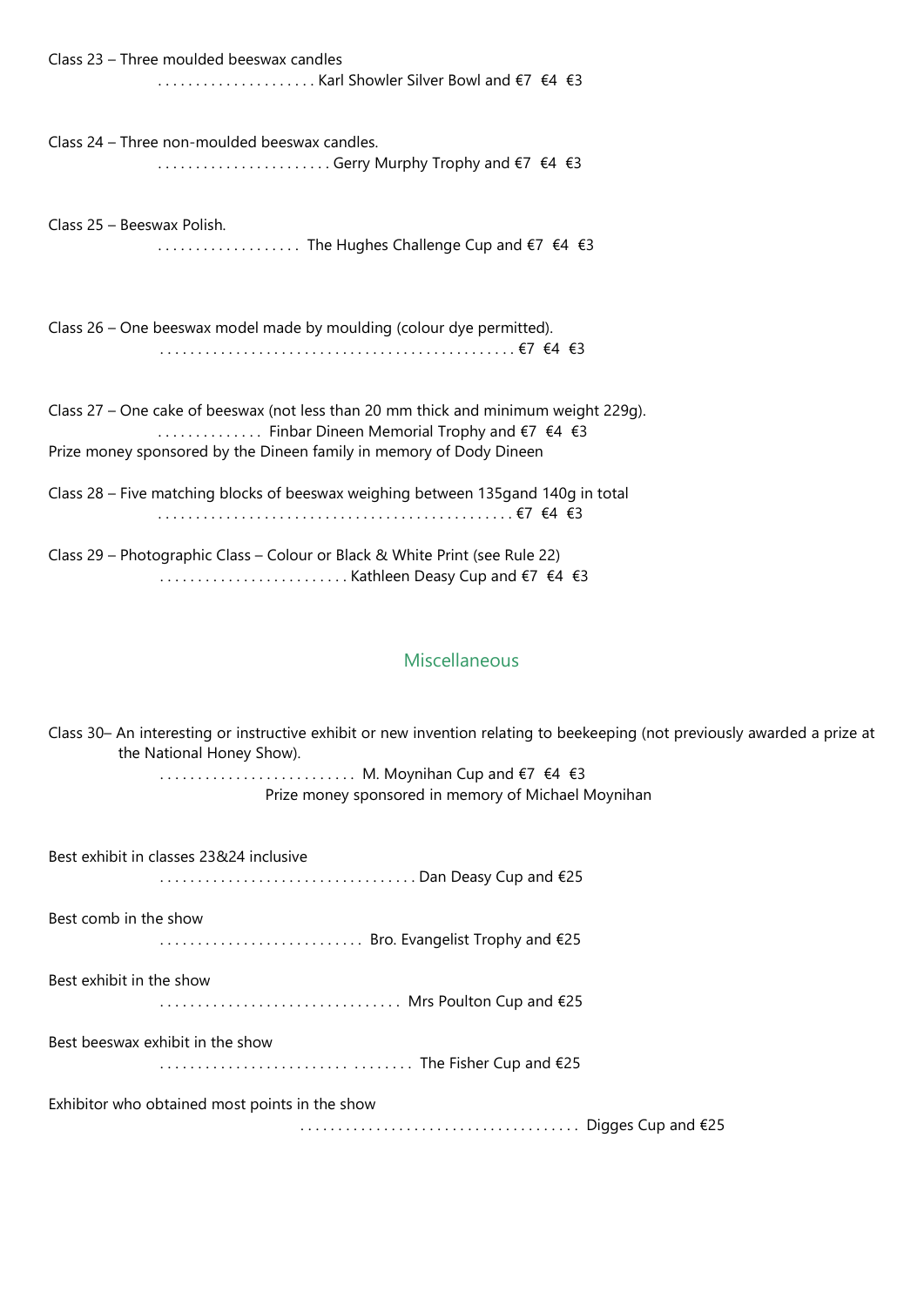| Class 23 - Three moulded beeswax candles                                                                                                                                                                                                        |
|-------------------------------------------------------------------------------------------------------------------------------------------------------------------------------------------------------------------------------------------------|
| Class 24 - Three non-moulded beeswax candles.<br>Gerry Murphy Trophy and €7 €4 €3                                                                                                                                                               |
| Class 25 - Beeswax Polish.<br>The Hughes Challenge Cup and €7 €4 €3                                                                                                                                                                             |
| Class 26 – One beeswax model made by moulding (colour dye permitted).                                                                                                                                                                           |
| Class 27 – One cake of beeswax (not less than 20 mm thick and minimum weight 229g).<br>$\ldots$ Finbar Dineen Memorial Trophy and $\epsilon$ 7 $\epsilon$ 4 $\epsilon$ 3<br>Prize money sponsored by the Dineen family in memory of Dody Dineen |
| Class 28 – Five matching blocks of beeswax weighing between 135gand 140g in total                                                                                                                                                               |
| Class 29 – Photographic Class – Colour or Black & White Print (see Rule 22)                                                                                                                                                                     |

. . . . . . . . . . . . . . . . . . . . . . . . . Kathleen Deasy Cup and €7 €4 €3

## Miscellaneous

| Class 30– An interesting or instructive exhibit or new invention relating to beekeeping (not previously awarded a prize at<br>the National Honey Show). |
|---------------------------------------------------------------------------------------------------------------------------------------------------------|
| M. Moynihan Cup and €7 €4 €3                                                                                                                            |
| Prize money sponsored in memory of Michael Moynihan                                                                                                     |
| Best exhibit in classes 23824 inclusive                                                                                                                 |
| Dan Deasy Cup and €25                                                                                                                                   |
| Best comb in the show                                                                                                                                   |
| Bro. Evangelist Trophy and €25                                                                                                                          |
| Best exhibit in the show                                                                                                                                |
| Mrs Poulton Cup and €25                                                                                                                                 |
| Best beeswax exhibit in the show                                                                                                                        |
| The Fisher Cup and €25                                                                                                                                  |
| Exhibitor who obtained most points in the show                                                                                                          |
|                                                                                                                                                         |